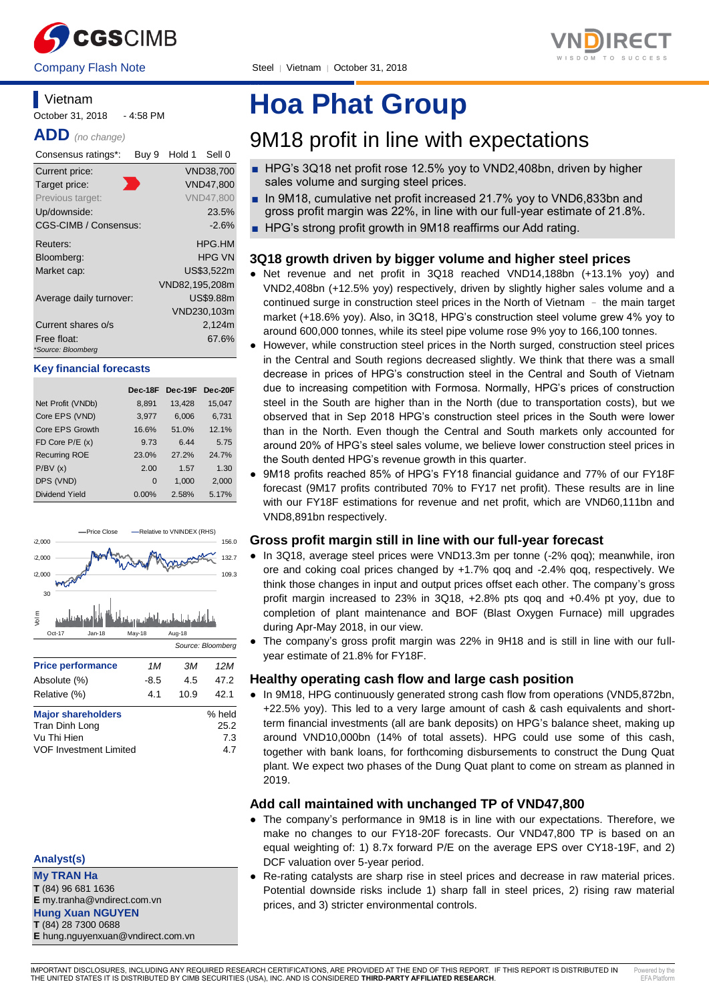

Company Flash Note Steel | Vietnam | October 31, 2018

#### **Vietnam** October 31, 2018 - 4:58 PM

**ADD** *(no change)*

| Consensus ratings*:               | Buy 9 | Hold 1         | Sell 0           |
|-----------------------------------|-------|----------------|------------------|
| Current price:                    |       |                | <b>VND38.700</b> |
| Target price:                     |       |                | <b>VND47,800</b> |
| Previous target:                  |       |                | <b>VND47.800</b> |
| Up/downside:                      |       |                | 23.5%            |
| CGS-CIMB / Consensus:             |       |                | $-2.6%$          |
| Reuters:                          |       |                | HPG.HM           |
| Bloomberg:                        |       |                | HPG VN           |
| Market cap:                       |       |                | US\$3,522m       |
|                                   |       | VND82,195,208m |                  |
| Average daily turnover:           |       |                | <b>US\$9.88m</b> |
|                                   |       |                | VND230,103m      |
| Current shares o/s                |       |                | 2.124m           |
| Free float:<br>*Source: Bloomberg |       |                | 67.6%            |

#### **Key financial forecasts**

|                      | Dec-18F  | $Dec-19F$ | Dec-20F |
|----------------------|----------|-----------|---------|
| Net Profit (VNDb)    | 8,891    | 13,428    | 15,047  |
| Core EPS (VND)       | 3,977    | 6,006     | 6,731   |
| Core EPS Growth      | 16.6%    | 51.0%     | 12.1%   |
| FD Core $P/E(x)$     | 9.73     | 6.44      | 5.75    |
| <b>Recurring ROE</b> | 23.0%    | 27.2%     | 24.7%   |
| P/BV(x)              | 2.00     | 1.57      | 1.30    |
| DPS (VND)            | $\Omega$ | 1.000     | 2.000   |
| Dividend Yield       | $0.00\%$ | 2.58%     | 5.17%   |



## **Analyst(s)**

**My TRAN Ha**

**T** (84) 96 681 1636 **E** my.tranha@vndirect.com.vn

## **Hung Xuan NGUYEN**

**T** (84) 28 7300 0688 **E** hung.nguyenxuan@vndirect.com.vn

# **Hoa Phat Group**

## 9M18 profit in line with expectations

- HPG's 3Q18 net profit rose 12.5% yoy to VND2,408bn, driven by higher sales volume and surging steel prices.
- In 9M18, cumulative net profit increased 21.7% yoy to VND6,833bn and gross profit margin was 22%, in line with our full-year estimate of 21.8%.
- HPG's strong profit growth in 9M18 reaffirms our Add rating.

## **3Q18 growth driven by bigger volume and higher steel prices**

- Net revenue and net profit in 3Q18 reached VND14,188bn (+13.1% yoy) and VND2,408bn (+12.5% yoy) respectively, driven by slightly higher sales volume and a continued surge in construction steel prices in the North of Vietnam – the main target market (+18.6% yoy). Also, in 3Q18, HPG's construction steel volume grew 4% yoy to around 600,000 tonnes, while its steel pipe volume rose 9% yoy to 166,100 tonnes.
- However, while construction steel prices in the North surged, construction steel prices in the Central and South regions decreased slightly. We think that there was a small decrease in prices of HPG's construction steel in the Central and South of Vietnam due to increasing competition with Formosa. Normally, HPG's prices of construction steel in the South are higher than in the North (due to transportation costs), but we observed that in Sep 2018 HPG's construction steel prices in the South were lower than in the North. Even though the Central and South markets only accounted for around 20% of HPG's steel sales volume, we believe lower construction steel prices in the South dented HPG's revenue growth in this quarter.
- 9M18 profits reached 85% of HPG's FY18 financial guidance and 77% of our FY18F forecast (9M17 profits contributed 70% to FY17 net profit). These results are in line with our FY18F estimations for revenue and net profit, which are VND60,111bn and VND8,891bn respectively.

## **Gross profit margin still in line with our full-year forecast**

- In 3Q18, average steel prices were VND13.3m per tonne (-2% qoq); meanwhile, iron ore and coking coal prices changed by +1.7% qoq and -2.4% qoq, respectively. We think those changes in input and output prices offset each other. The company's gross profit margin increased to 23% in 3Q18, +2.8% pts qoq and +0.4% pt yoy, due to completion of plant maintenance and BOF (Blast Oxygen Furnace) mill upgrades during Apr-May 2018, in our view.
- The company's gross profit margin was 22% in 9H18 and is still in line with our fullyear estimate of 21.8% for FY18F.

## **Healthy operating cash flow and large cash position**

● In 9M18, HPG continuously generated strong cash flow from operations (VND5,872bn, +22.5% yoy). This led to a very large amount of cash & cash equivalents and shortterm financial investments (all are bank deposits) on HPG's balance sheet, making up around VND10,000bn (14% of total assets). HPG could use some of this cash, together with bank loans, for forthcoming disbursements to construct the Dung Quat plant. We expect two phases of the Dung Quat plant to come on stream as planned in 2019.

## **Add call maintained with unchanged TP of VND47,800**

- The company's performance in 9M18 is in line with our expectations. Therefore, we make no changes to our FY18-20F forecasts. Our VND47,800 TP is based on an equal weighting of: 1) 8.7x forward P/E on the average EPS over CY18-19F, and 2) DCF valuation over 5-year period.
- Re-rating catalysts are sharp rise in steel prices and decrease in raw material prices. Potential downside risks include 1) sharp fall in steel prices, 2) rising raw material prices, and 3) stricter environmental controls.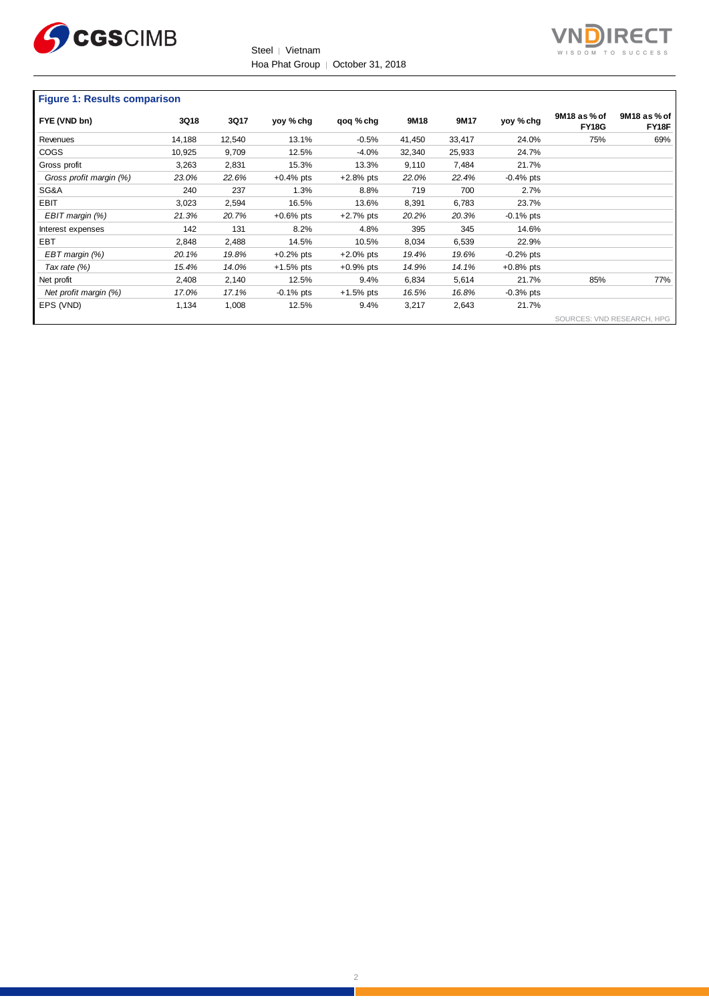

Steel │ Vietnam Hoa Phat Group | October 31, 2018



#### **Figure 1: Results comparison**

| FYE (VND bn)            | 3Q18   | 3Q17   | yoy % chg    | qoq % chg    | 9M18   | 9M17   | yoy % chg    | 9M18 as % of<br><b>FY18G</b> | 9M18 as % of<br>FY18F |
|-------------------------|--------|--------|--------------|--------------|--------|--------|--------------|------------------------------|-----------------------|
| Revenues                | 14,188 | 12,540 | 13.1%        | $-0.5%$      | 41,450 | 33,417 | 24.0%        | 75%                          | 69%                   |
| <b>COGS</b>             | 10,925 | 9,709  | 12.5%        | $-4.0\%$     | 32,340 | 25,933 | 24.7%        |                              |                       |
| Gross profit            | 3.263  | 2,831  | 15.3%        | 13.3%        | 9,110  | 7,484  | 21.7%        |                              |                       |
| Gross profit margin (%) | 23.0%  | 22.6%  | $+0.4%$ pts  | $+2.8%$ pts  | 22.0%  | 22.4%  | $-0.4%$ pts  |                              |                       |
| SG&A                    | 240    | 237    | 1.3%         | 8.8%         | 719    | 700    | 2.7%         |                              |                       |
| <b>EBIT</b>             | 3,023  | 2,594  | 16.5%        | 13.6%        | 8,391  | 6,783  | 23.7%        |                              |                       |
| EBIT margin (%)         | 21.3%  | 20.7%  | $+0.6%$ pts  | $+2.7%$ pts  | 20.2%  | 20.3%  | $-0.1\%$ pts |                              |                       |
| Interest expenses       | 142    | 131    | 8.2%         | 4.8%         | 395    | 345    | 14.6%        |                              |                       |
| EBT                     | 2,848  | 2,488  | 14.5%        | 10.5%        | 8,034  | 6,539  | 22.9%        |                              |                       |
| EBT margin (%)          | 20.1%  | 19.8%  | $+0.2%$ pts  | $+2.0\%$ pts | 19.4%  | 19.6%  | $-0.2%$ pts  |                              |                       |
| Tax rate (%)            | 15.4%  | 14.0%  | $+1.5%$ pts  | $+0.9%$ pts  | 14.9%  | 14.1%  | $+0.8%$ pts  |                              |                       |
| Net profit              | 2,408  | 2,140  | 12.5%        | 9.4%         | 6,834  | 5,614  | 21.7%        | 85%                          | 77%                   |
| Net profit margin (%)   | 17.0%  | 17.1%  | $-0.1\%$ pts | $+1.5%$ pts  | 16.5%  | 16.8%  | $-0.3%$ pts  |                              |                       |
| EPS (VND)               | 1,134  | 1,008  | 12.5%        | 9.4%         | 3,217  | 2,643  | 21.7%        |                              |                       |
|                         |        |        |              |              |        |        |              | SOURCES: VND RESEARCH, HPG   |                       |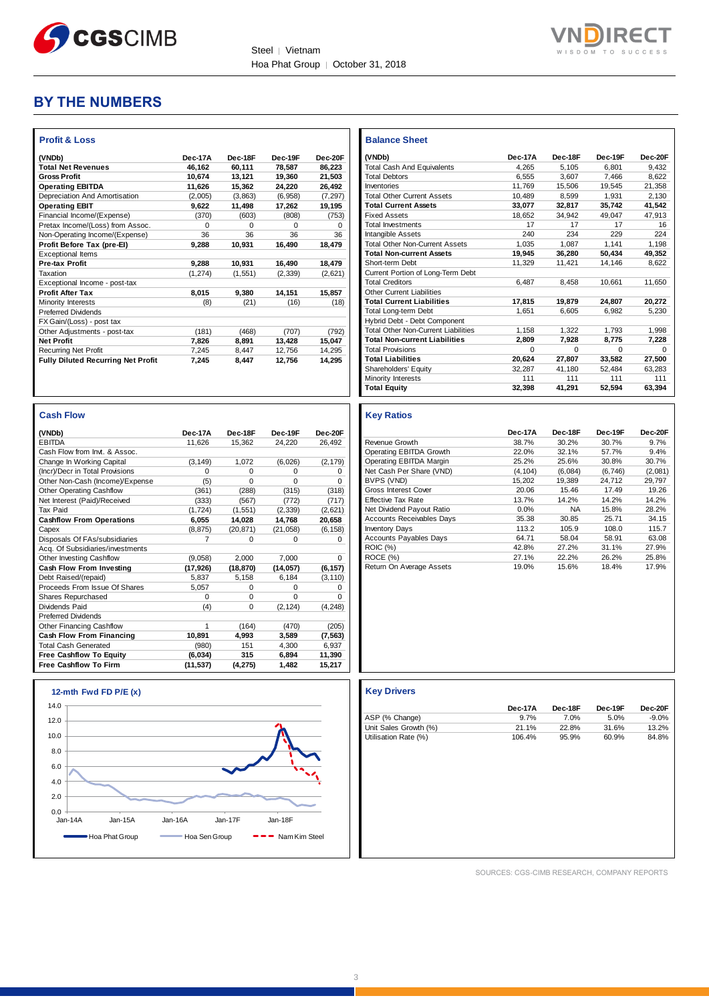



## **BY THE NUMBERS**

| <b>Profit &amp; Loss</b>                  |          |          |          |          |
|-------------------------------------------|----------|----------|----------|----------|
| (VNDb)                                    | Dec-17A  | Dec-18F  | Dec-19F  | Dec-20F  |
| <b>Total Net Revenues</b>                 | 46.162   | 60.111   | 78.587   | 86.223   |
| <b>Gross Profit</b>                       | 10.674   | 13.121   | 19.360   | 21.503   |
| <b>Operating EBITDA</b>                   | 11.626   | 15,362   | 24,220   | 26,492   |
| Depreciation And Amortisation             | (2,005)  | (3,863)  | (6,958)  | (7, 297) |
| <b>Operating EBIT</b>                     | 9,622    | 11,498   | 17,262   | 19,195   |
| Financial Income/(Expense)                | (370)    | (603)    | (808)    | (753)    |
| Pretax Income/(Loss) from Assoc.          | $\Omega$ | $\Omega$ | $\Omega$ | $\Omega$ |
| Non-Operating Income/(Expense)            | 36       | 36       | 36       | 36       |
| Profit Before Tax (pre-EI)                | 9.288    | 10,931   | 16,490   | 18.479   |
| <b>Exceptional Items</b>                  |          |          |          |          |
| <b>Pre-tax Profit</b>                     | 9.288    | 10.931   | 16.490   | 18.479   |
| Taxation                                  | (1, 274) | (1,551)  | (2, 339) | (2,621)  |
| Exceptional Income - post-tax             |          |          |          |          |
| <b>Profit After Tax</b>                   | 8,015    | 9,380    | 14,151   | 15,857   |
| Minority Interests                        | (8)      | (21)     | (16)     | (18)     |
| <b>Preferred Dividends</b>                |          |          |          |          |
| FX Gain/(Loss) - post tax                 |          |          |          |          |
| Other Adjustments - post-tax              | (181)    | (468)    | (707)    | (792)    |
| <b>Net Profit</b>                         | 7.826    | 8.891    | 13.428   | 15,047   |
| <b>Recurring Net Profit</b>               | 7,245    | 8,447    | 12,756   | 14,295   |
| <b>Fully Diluted Recurring Net Profit</b> | 7.245    | 8.447    | 12.756   | 14.295   |

| <b>Cash Flow</b>                 |           |           |           |          |
|----------------------------------|-----------|-----------|-----------|----------|
| (VNDb)                           | Dec-17A   | Dec-18F   | Dec-19F   | Dec-20F  |
| <b>EBITDA</b>                    | 11,626    | 15,362    | 24,220    | 26,492   |
| Cash Flow from Invt. & Assoc.    |           |           |           |          |
| Change In Working Capital        | (3, 149)  | 1,072     | (6,026)   | (2, 179) |
| (Incr)/Decr in Total Provisions  | $\Omega$  | $\Omega$  | $\Omega$  | 0        |
| Other Non-Cash (Income)/Expense  | (5)       | $\Omega$  | $\Omega$  | 0        |
| Other Operating Cashflow         | (361)     | (288)     | (315)     | (318)    |
| Net Interest (Paid)/Received     | (333)     | (567)     | (772)     | (717)    |
| Tax Paid                         | (1.724)   | (1.551)   | (2, 339)  | (2,621)  |
| <b>Cashflow From Operations</b>  | 6,055     | 14,028    | 14,768    | 20,658   |
| Capex                            | (8, 875)  | (20, 871) | (21, 058) | (6, 158) |
| Disposals Of FAs/subsidiaries    | 7         | 0         | 0         | 0        |
| Acq. Of Subsidiaries/investments |           |           |           |          |
| Other Investing Cashflow         | (9,058)   | 2,000     | 7.000     | $\Omega$ |
| Cash Flow From Investing         | (17, 926) | (18, 870) | (14, 057) | (6, 157) |
| Debt Raised/(repaid)             | 5.837     | 5,158     | 6.184     | (3, 110) |
| Proceeds From Issue Of Shares    | 5,057     | $\Omega$  | 0         | 0        |
| Shares Repurchased               | $\Omega$  | $\Omega$  | $\Omega$  | $\Omega$ |
| Dividends Paid                   | (4)       | $\Omega$  | (2, 124)  | (4, 248) |
| <b>Preferred Dividends</b>       |           |           |           |          |
| Other Financing Cashflow         | 1         | (164)     | (470)     | (205)    |
| Cash Flow From Financing         | 10,891    | 4,993     | 3,589     | (7, 563) |
| <b>Total Cash Generated</b>      | (980)     | 151       | 4.300     | 6.937    |
| <b>Free Cashflow To Equity</b>   | (6,034)   | 315       | 6,894     | 11,390   |
| <b>Free Cashflow To Firm</b>     | (11, 537) | (4,275)   | 1,482     | 15,217   |

| <b>Balance Sheet</b>                       |          |          |          |              |
|--------------------------------------------|----------|----------|----------|--------------|
| (VNDb)                                     | Dec-17A  | Dec-18F  | Dec-19F  | Dec-20E      |
| <b>Total Cash And Equivalents</b>          | 4.265    | 5.105    | 6.801    | 9.432        |
| <b>Total Debtors</b>                       | 6.555    | 3.607    | 7.466    | 8.622        |
| Inventories                                | 11.769   | 15.506   | 19.545   | 21.358       |
| <b>Total Other Current Assets</b>          | 10.489   | 8.599    | 1.931    | 2.130        |
| <b>Total Current Assets</b>                | 33,077   | 32,817   | 35,742   | 41,542       |
| <b>Fixed Assets</b>                        | 18.652   | 34.942   | 49.047   | 47.913       |
| <b>Total Investments</b>                   | 17       | 17       | 17       | 16           |
| Intangible Assets                          | 240      | 234      | 229      | 224          |
| <b>Total Other Non-Current Assets</b>      | 1.035    | 1.087    | 1.141    | 1.198        |
| <b>Total Non-current Assets</b>            | 19,945   | 36,280   | 50,434   | 49,352       |
| Short-term Debt                            | 11,329   | 11.421   | 14,146   | 8.622        |
| Current Portion of Long-Term Debt          |          |          |          |              |
| <b>Total Creditors</b>                     | 6.487    | 8.458    | 10.661   | 11.650       |
| <b>Other Current Liabilities</b>           |          |          |          |              |
| <b>Total Current Liabilities</b>           | 17.815   | 19.879   | 24.807   | 20.272       |
| <b>Total Long-term Debt</b>                | 1.651    | 6.605    | 6.982    | 5.230        |
| Hybrid Debt - Debt Component               |          |          |          |              |
| <b>Total Other Non-Current Liabilities</b> | 1.158    | 1.322    | 1.793    | 1.998        |
| <b>Total Non-current Liabilities</b>       | 2.809    | 7.928    | 8.775    | 7.228        |
| <b>Total Provisions</b>                    | $\Omega$ | $\Omega$ | $\Omega$ | <sup>0</sup> |
| <b>Total Liabilities</b>                   | 20.624   | 27,807   | 33,582   | 27,500       |
| Shareholders' Equity                       | 32.287   | 41.180   | 52.484   | 63.283       |
| Minority Interests                         | 111      | 111      | 111      | 111          |
| <b>Total Equity</b>                        | 32,398   | 41,291   | 52,594   | 63,394       |

#### **Key Ratios**

|                                  | Dec-17A | Dec-18F   | Dec-19F | Dec-20F |
|----------------------------------|---------|-----------|---------|---------|
| Revenue Growth                   | 38.7%   | 30.2%     | 30.7%   | 9.7%    |
| Operating EBITDA Growth          | 22.0%   | 32.1%     | 57.7%   | 9.4%    |
| Operating EBITDA Margin          | 25.2%   | 25.6%     | 30.8%   | 30.7%   |
| Net Cash Per Share (VND)         | (4.104) | (6,084)   | (6.746) | (2,081) |
| BVPS (VND)                       | 15.202  | 19.389    | 24.712  | 29.797  |
| Gross Interest Cover             | 20.06   | 15.46     | 17.49   | 19.26   |
| <b>Effective Tax Rate</b>        | 13.7%   | 14.2%     | 14.2%   | 14.2%   |
| Net Dividend Pavout Ratio        | 0.0%    | <b>NA</b> | 15.8%   | 28.2%   |
| <b>Accounts Receivables Days</b> | 35.38   | 30.85     | 25.71   | 34.15   |
| <b>Inventory Days</b>            | 113.2   | 105.9     | 108.0   | 115.7   |
| <b>Accounts Payables Days</b>    | 64.71   | 58.04     | 58.91   | 63.08   |
| <b>ROIC</b> (%)                  | 42.8%   | 27.2%     | 31.1%   | 27.9%   |
| ROCE (%)                         | 27.1%   | 22.2%     | 26.2%   | 25.8%   |
| Return On Average Assets         | 19.0%   | 15.6%     | 18.4%   | 17.9%   |

#### **Key Drivers**

|                       | Dec-17A | Dec-18F | Dec-19F | Dec-20F  |
|-----------------------|---------|---------|---------|----------|
| ASP (% Change)        | 97%     | 7.0%    | 5.0%    | $-9.0\%$ |
| Unit Sales Growth (%) | 21.1%   | 22.8%   | 31.6%   | 13.2%    |
| Utilisation Rate (%)  | 106.4%  | 95.9%   | 60.9%   | 84.8%    |

 $0.0$   $\frac{1}{\sqrt{2}}$ 2.0 4.0 6.0 8.0 10.0 12.0 14.0 Jan-14A Jan-15A Jan-16A Jan-17F Jan-18F **12-mth Fwd FD P/E (x)** Hoa Phat Group Hoa Sen Group - Nam Kim Steel

SOURCES: CGS-CIMB RESEARCH, COMPANY REPORTS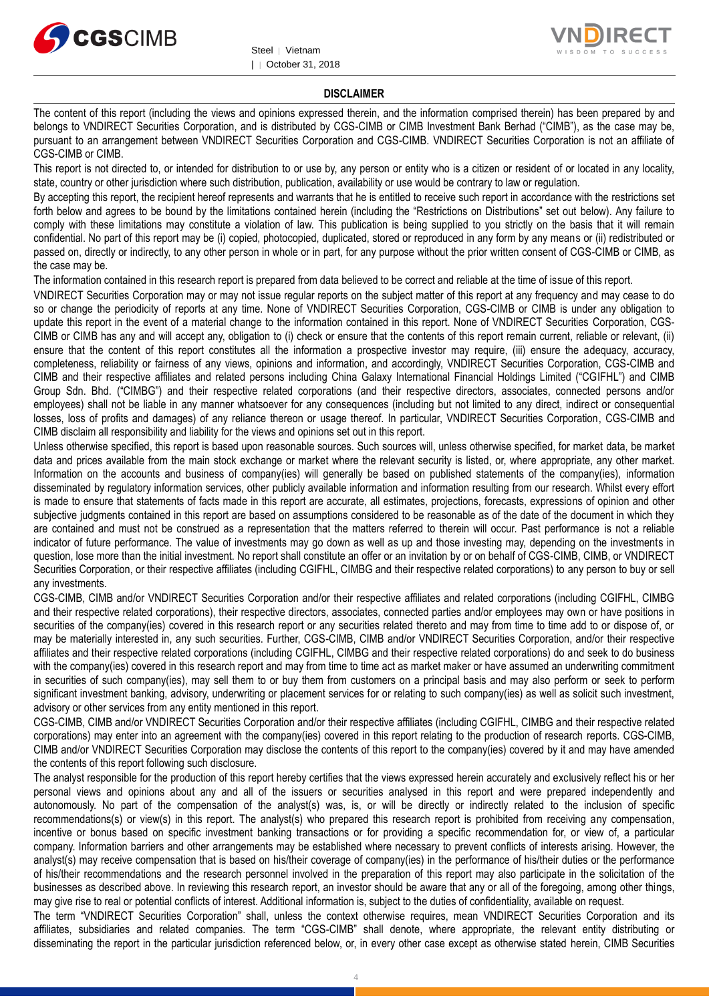



#### **DISCLAIMER**

The content of this report (including the views and opinions expressed therein, and the information comprised therein) has been prepared by and belongs to VNDIRECT Securities Corporation, and is distributed by CGS-CIMB or CIMB Investment Bank Berhad ("CIMB"), as the case may be, pursuant to an arrangement between VNDIRECT Securities Corporation and CGS-CIMB. VNDIRECT Securities Corporation is not an affiliate of CGS-CIMB or CIMB.

This report is not directed to, or intended for distribution to or use by, any person or entity who is a citizen or resident of or located in any locality, state, country or other jurisdiction where such distribution, publication, availability or use would be contrary to law or regulation.

By accepting this report, the recipient hereof represents and warrants that he is entitled to receive such report in accordance with the restrictions set forth below and agrees to be bound by the limitations contained herein (including the "Restrictions on Distributions" set out below). Any failure to comply with these limitations may constitute a violation of law. This publication is being supplied to you strictly on the basis that it will remain confidential. No part of this report may be (i) copied, photocopied, duplicated, stored or reproduced in any form by any means or (ii) redistributed or passed on, directly or indirectly, to any other person in whole or in part, for any purpose without the prior written consent of CGS-CIMB or CIMB, as the case may be.

The information contained in this research report is prepared from data believed to be correct and reliable at the time of issue of this report.

VNDIRECT Securities Corporation may or may not issue regular reports on the subject matter of this report at any frequency and may cease to do so or change the periodicity of reports at any time. None of VNDIRECT Securities Corporation, CGS-CIMB or CIMB is under any obligation to update this report in the event of a material change to the information contained in this report. None of VNDIRECT Securities Corporation, CGS-CIMB or CIMB has any and will accept any, obligation to (i) check or ensure that the contents of this report remain current, reliable or relevant, (ii) ensure that the content of this report constitutes all the information a prospective investor may require, (iii) ensure the adequacy, accuracy, completeness, reliability or fairness of any views, opinions and information, and accordingly, VNDIRECT Securities Corporation, CGS-CIMB and CIMB and their respective affiliates and related persons including China Galaxy International Financial Holdings Limited ("CGIFHL") and CIMB Group Sdn. Bhd. ("CIMBG") and their respective related corporations (and their respective directors, associates, connected persons and/or employees) shall not be liable in any manner whatsoever for any consequences (including but not limited to any direct, indirect or consequential losses, loss of profits and damages) of any reliance thereon or usage thereof. In particular, VNDIRECT Securities Corporation, CGS-CIMB and CIMB disclaim all responsibility and liability for the views and opinions set out in this report.

Unless otherwise specified, this report is based upon reasonable sources. Such sources will, unless otherwise specified, for market data, be market data and prices available from the main stock exchange or market where the relevant security is listed, or, where appropriate, any other market. Information on the accounts and business of company(ies) will generally be based on published statements of the company(ies), information disseminated by regulatory information services, other publicly available information and information resulting from our research. Whilst every effort is made to ensure that statements of facts made in this report are accurate, all estimates, projections, forecasts, expressions of opinion and other subjective judgments contained in this report are based on assumptions considered to be reasonable as of the date of the document in which they are contained and must not be construed as a representation that the matters referred to therein will occur. Past performance is not a reliable indicator of future performance. The value of investments may go down as well as up and those investing may, depending on the investments in question, lose more than the initial investment. No report shall constitute an offer or an invitation by or on behalf of CGS-CIMB, CIMB, or VNDIRECT Securities Corporation, or their respective affiliates (including CGIFHL, CIMBG and their respective related corporations) to any person to buy or sell any investments.

CGS-CIMB, CIMB and/or VNDIRECT Securities Corporation and/or their respective affiliates and related corporations (including CGIFHL, CIMBG and their respective related corporations), their respective directors, associates, connected parties and/or employees may own or have positions in securities of the company(ies) covered in this research report or any securities related thereto and may from time to time add to or dispose of, or may be materially interested in, any such securities. Further, CGS-CIMB, CIMB and/or VNDIRECT Securities Corporation, and/or their respective affiliates and their respective related corporations (including CGIFHL, CIMBG and their respective related corporations) do and seek to do business with the company(ies) covered in this research report and may from time to time act as market maker or have assumed an underwriting commitment in securities of such company(ies), may sell them to or buy them from customers on a principal basis and may also perform or seek to perform significant investment banking, advisory, underwriting or placement services for or relating to such company(ies) as well as solicit such investment, advisory or other services from any entity mentioned in this report.

CGS-CIMB, CIMB and/or VNDIRECT Securities Corporation and/or their respective affiliates (including CGIFHL, CIMBG and their respective related corporations) may enter into an agreement with the company(ies) covered in this report relating to the production of research reports. CGS-CIMB, CIMB and/or VNDIRECT Securities Corporation may disclose the contents of this report to the company(ies) covered by it and may have amended the contents of this report following such disclosure.

The analyst responsible for the production of this report hereby certifies that the views expressed herein accurately and exclusively reflect his or her personal views and opinions about any and all of the issuers or securities analysed in this report and were prepared independently and autonomously. No part of the compensation of the analyst(s) was, is, or will be directly or indirectly related to the inclusion of specific recommendations(s) or view(s) in this report. The analyst(s) who prepared this research report is prohibited from receiving any compensation, incentive or bonus based on specific investment banking transactions or for providing a specific recommendation for, or view of, a particular company. Information barriers and other arrangements may be established where necessary to prevent conflicts of interests arising. However, the analyst(s) may receive compensation that is based on his/their coverage of company(ies) in the performance of his/their duties or the performance of his/their recommendations and the research personnel involved in the preparation of this report may also participate in the solicitation of the businesses as described above. In reviewing this research report, an investor should be aware that any or all of the foregoing, among other things, may give rise to real or potential conflicts of interest. Additional information is, subject to the duties of confidentiality, available on request.

The term "VNDIRECT Securities Corporation" shall, unless the context otherwise requires, mean VNDIRECT Securities Corporation and its affiliates, subsidiaries and related companies. The term "CGS-CIMB" shall denote, where appropriate, the relevant entity distributing or disseminating the report in the particular jurisdiction referenced below, or, in every other case except as otherwise stated herein, CIMB Securities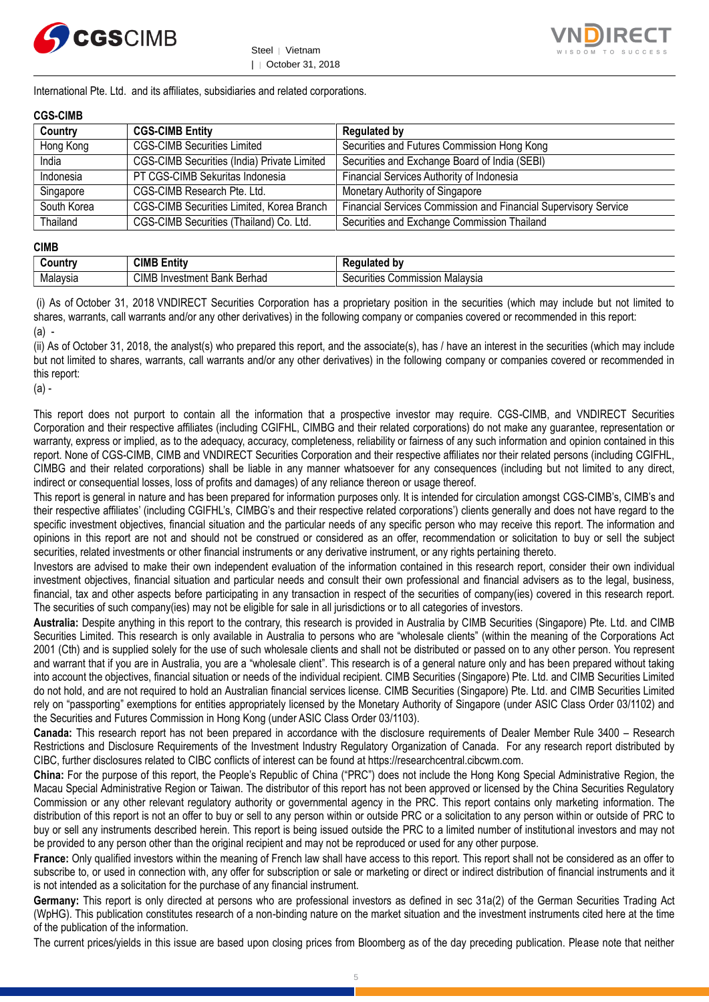



International Pte. Ltd. and its affiliates, subsidiaries and related corporations.

#### **CGS-CIMB**

| Country     | <b>CGS-CIMB Entity</b>                      | <b>Regulated by</b>                                             |
|-------------|---------------------------------------------|-----------------------------------------------------------------|
| Hong Kong   | <b>CGS-CIMB Securities Limited</b>          | Securities and Futures Commission Hong Kong                     |
| India       | CGS-CIMB Securities (India) Private Limited | Securities and Exchange Board of India (SEBI)                   |
| Indonesia   | PT CGS-CIMB Sekuritas Indonesia             | Financial Services Authority of Indonesia                       |
| Singapore   | CGS-CIMB Research Pte. Ltd.                 | Monetary Authority of Singapore                                 |
| South Korea | CGS-CIMB Securities Limited, Korea Branch   | Financial Services Commission and Financial Supervisory Service |
| Thailand    | CGS-CIMB Securities (Thailand) Co. Ltd.     | Securities and Exchange Commission Thailand                     |

#### **CIMB**

| ۔ountrٽ         | - -<br>CIME<br><b>ALL</b><br>Entity         | ۱h۷<br>.                                                   |
|-----------------|---------------------------------------------|------------------------------------------------------------|
| alavsia<br>ivia | CIM.<br>. .<br>Berhad<br>Bank<br>'nvestment | .<br>Malavsia<br>urities<br>Commission<br>$S^{\alpha}$<br> |

(i) As of October 31, 2018 VNDIRECT Securities Corporation has a proprietary position in the securities (which may include but not limited to shares, warrants, call warrants and/or any other derivatives) in the following company or companies covered or recommended in this report: (a) -

(ii) As of October 31, 2018, the analyst(s) who prepared this report, and the associate(s), has / have an interest in the securities (which may include but not limited to shares, warrants, call warrants and/or any other derivatives) in the following company or companies covered or recommended in this report:

(a) -

This report does not purport to contain all the information that a prospective investor may require. CGS-CIMB, and VNDIRECT Securities Corporation and their respective affiliates (including CGIFHL, CIMBG and their related corporations) do not make any guarantee, representation or warranty, express or implied, as to the adequacy, accuracy, completeness, reliability or fairness of any such information and opinion contained in this report. None of CGS-CIMB, CIMB and VNDIRECT Securities Corporation and their respective affiliates nor their related persons (including CGIFHL, CIMBG and their related corporations) shall be liable in any manner whatsoever for any consequences (including but not limited to any direct, indirect or consequential losses, loss of profits and damages) of any reliance thereon or usage thereof.

This report is general in nature and has been prepared for information purposes only. It is intended for circulation amongst CGS-CIMB's, CIMB's and their respective affiliates' (including CGIFHL's, CIMBG's and their respective related corporations') clients generally and does not have regard to the specific investment objectives, financial situation and the particular needs of any specific person who may receive this report. The information and opinions in this report are not and should not be construed or considered as an offer, recommendation or solicitation to buy or sell the subject securities, related investments or other financial instruments or any derivative instrument, or any rights pertaining thereto.

Investors are advised to make their own independent evaluation of the information contained in this research report, consider their own individual investment objectives, financial situation and particular needs and consult their own professional and financial advisers as to the legal, business, financial, tax and other aspects before participating in any transaction in respect of the securities of company(ies) covered in this research report. The securities of such company(ies) may not be eligible for sale in all jurisdictions or to all categories of investors.

**Australia:** Despite anything in this report to the contrary, this research is provided in Australia by CIMB Securities (Singapore) Pte. Ltd. and CIMB Securities Limited. This research is only available in Australia to persons who are "wholesale clients" (within the meaning of the Corporations Act 2001 (Cth) and is supplied solely for the use of such wholesale clients and shall not be distributed or passed on to any other person. You represent and warrant that if you are in Australia, you are a "wholesale client". This research is of a general nature only and has been prepared without taking into account the objectives, financial situation or needs of the individual recipient. CIMB Securities (Singapore) Pte. Ltd. and CIMB Securities Limited do not hold, and are not required to hold an Australian financial services license. CIMB Securities (Singapore) Pte. Ltd. and CIMB Securities Limited rely on "passporting" exemptions for entities appropriately licensed by the Monetary Authority of Singapore (under ASIC Class Order 03/1102) and the Securities and Futures Commission in Hong Kong (under ASIC Class Order 03/1103).

**Canada:** This research report has not been prepared in accordance with the disclosure requirements of Dealer Member Rule 3400 – Research Restrictions and Disclosure Requirements of the Investment Industry Regulatory Organization of Canada. For any research report distributed by CIBC, further disclosures related to CIBC conflicts of interest can be found at https://researchcentral.cibcwm.com.

**China:** For the purpose of this report, the People's Republic of China ("PRC") does not include the Hong Kong Special Administrative Region, the Macau Special Administrative Region or Taiwan. The distributor of this report has not been approved or licensed by the China Securities Regulatory Commission or any other relevant regulatory authority or governmental agency in the PRC. This report contains only marketing information. The distribution of this report is not an offer to buy or sell to any person within or outside PRC or a solicitation to any person within or outside of PRC to buy or sell any instruments described herein. This report is being issued outside the PRC to a limited number of institutional investors and may not be provided to any person other than the original recipient and may not be reproduced or used for any other purpose.

**France:** Only qualified investors within the meaning of French law shall have access to this report. This report shall not be considered as an offer to subscribe to, or used in connection with, any offer for subscription or sale or marketing or direct or indirect distribution of financial instruments and it is not intended as a solicitation for the purchase of any financial instrument.

**Germany:** This report is only directed at persons who are professional investors as defined in sec 31a(2) of the German Securities Trading Act (WpHG). This publication constitutes research of a non-binding nature on the market situation and the investment instruments cited here at the time of the publication of the information.

The current prices/yields in this issue are based upon closing prices from Bloomberg as of the day preceding publication. Please note that neither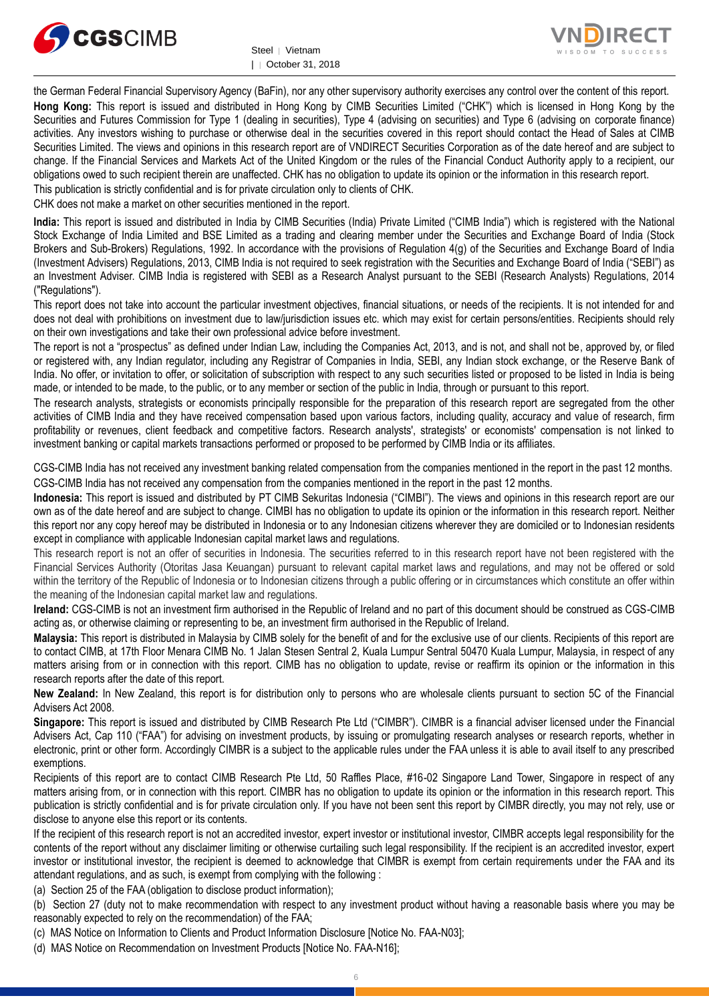



the German Federal Financial Supervisory Agency (BaFin), nor any other supervisory authority exercises any control over the content of this report. **Hong Kong:** This report is issued and distributed in Hong Kong by CIMB Securities Limited ("CHK") which is licensed in Hong Kong by the Securities and Futures Commission for Type 1 (dealing in securities), Type 4 (advising on securities) and Type 6 (advising on corporate finance) activities. Any investors wishing to purchase or otherwise deal in the securities covered in this report should contact the Head of Sales at CIMB Securities Limited. The views and opinions in this research report are of VNDIRECT Securities Corporation as of the date hereof and are subject to change. If the Financial Services and Markets Act of the United Kingdom or the rules of the Financial Conduct Authority apply to a recipient, our obligations owed to such recipient therein are unaffected. CHK has no obligation to update its opinion or the information in this research report. This publication is strictly confidential and is for private circulation only to clients of CHK.

CHK does not make a market on other securities mentioned in the report.

**India:** This report is issued and distributed in India by CIMB Securities (India) Private Limited ("CIMB India") which is registered with the National Stock Exchange of India Limited and BSE Limited as a trading and clearing member under the Securities and Exchange Board of India (Stock Brokers and Sub-Brokers) Regulations, 1992. In accordance with the provisions of Regulation 4(g) of the Securities and Exchange Board of India (Investment Advisers) Regulations, 2013, CIMB India is not required to seek registration with the Securities and Exchange Board of India ("SEBI") as an Investment Adviser. CIMB India is registered with SEBI as a Research Analyst pursuant to the SEBI (Research Analysts) Regulations, 2014 ("Regulations").

This report does not take into account the particular investment objectives, financial situations, or needs of the recipients. It is not intended for and does not deal with prohibitions on investment due to law/jurisdiction issues etc. which may exist for certain persons/entities. Recipients should rely on their own investigations and take their own professional advice before investment.

The report is not a "prospectus" as defined under Indian Law, including the Companies Act, 2013, and is not, and shall not be, approved by, or filed or registered with, any Indian regulator, including any Registrar of Companies in India, SEBI, any Indian stock exchange, or the Reserve Bank of India. No offer, or invitation to offer, or solicitation of subscription with respect to any such securities listed or proposed to be listed in India is being made, or intended to be made, to the public, or to any member or section of the public in India, through or pursuant to this report.

The research analysts, strategists or economists principally responsible for the preparation of this research report are segregated from the other activities of CIMB India and they have received compensation based upon various factors, including quality, accuracy and value of research, firm profitability or revenues, client feedback and competitive factors. Research analysts', strategists' or economists' compensation is not linked to investment banking or capital markets transactions performed or proposed to be performed by CIMB India or its affiliates.

CGS-CIMB India has not received any investment banking related compensation from the companies mentioned in the report in the past 12 months. CGS-CIMB India has not received any compensation from the companies mentioned in the report in the past 12 months.

**Indonesia:** This report is issued and distributed by PT CIMB Sekuritas Indonesia ("CIMBI"). The views and opinions in this research report are our own as of the date hereof and are subject to change. CIMBI has no obligation to update its opinion or the information in this research report. Neither this report nor any copy hereof may be distributed in Indonesia or to any Indonesian citizens wherever they are domiciled or to Indonesian residents except in compliance with applicable Indonesian capital market laws and regulations.

This research report is not an offer of securities in Indonesia. The securities referred to in this research report have not been registered with the Financial Services Authority (Otoritas Jasa Keuangan) pursuant to relevant capital market laws and regulations, and may not be offered or sold within the territory of the Republic of Indonesia or to Indonesian citizens through a public offering or in circumstances which constitute an offer within the meaning of the Indonesian capital market law and regulations.

**Ireland:** CGS-CIMB is not an investment firm authorised in the Republic of Ireland and no part of this document should be construed as CGS-CIMB acting as, or otherwise claiming or representing to be, an investment firm authorised in the Republic of Ireland.

**Malaysia:** This report is distributed in Malaysia by CIMB solely for the benefit of and for the exclusive use of our clients. Recipients of this report are to contact CIMB, at 17th Floor Menara CIMB No. 1 Jalan Stesen Sentral 2, Kuala Lumpur Sentral 50470 Kuala Lumpur, Malaysia, in respect of any matters arising from or in connection with this report. CIMB has no obligation to update, revise or reaffirm its opinion or the information in this research reports after the date of this report.

**New Zealand:** In New Zealand, this report is for distribution only to persons who are wholesale clients pursuant to section 5C of the Financial Advisers Act 2008.

**Singapore:** This report is issued and distributed by CIMB Research Pte Ltd ("CIMBR"). CIMBR is a financial adviser licensed under the Financial Advisers Act, Cap 110 ("FAA") for advising on investment products, by issuing or promulgating research analyses or research reports, whether in electronic, print or other form. Accordingly CIMBR is a subject to the applicable rules under the FAA unless it is able to avail itself to any prescribed exemptions.

Recipients of this report are to contact CIMB Research Pte Ltd, 50 Raffles Place, #16-02 Singapore Land Tower, Singapore in respect of any matters arising from, or in connection with this report. CIMBR has no obligation to update its opinion or the information in this research report. This publication is strictly confidential and is for private circulation only. If you have not been sent this report by CIMBR directly, you may not rely, use or disclose to anyone else this report or its contents.

If the recipient of this research report is not an accredited investor, expert investor or institutional investor, CIMBR accepts legal responsibility for the contents of the report without any disclaimer limiting or otherwise curtailing such legal responsibility. If the recipient is an accredited investor, expert investor or institutional investor, the recipient is deemed to acknowledge that CIMBR is exempt from certain requirements under the FAA and its attendant regulations, and as such, is exempt from complying with the following :

(a) Section 25 of the FAA (obligation to disclose product information);

(b) Section 27 (duty not to make recommendation with respect to any investment product without having a reasonable basis where you may be reasonably expected to rely on the recommendation) of the FAA;

(c) MAS Notice on Information to Clients and Product Information Disclosure [Notice No. FAA-N03];

(d) MAS Notice on Recommendation on Investment Products [Notice No. FAA-N16];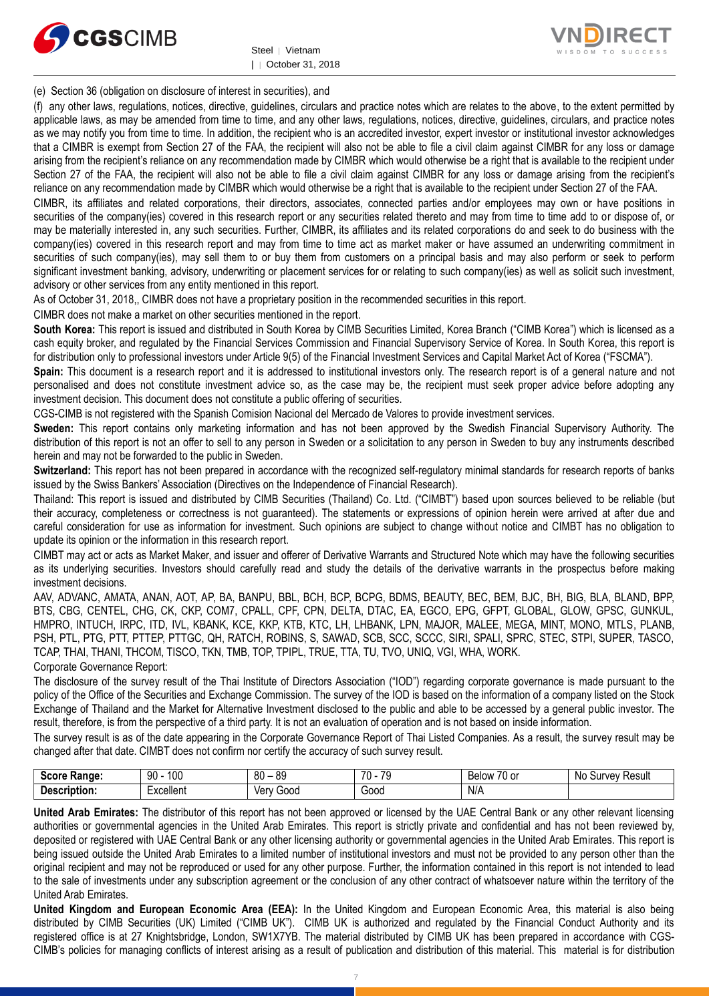



(e) Section 36 (obligation on disclosure of interest in securities), and

(f) any other laws, regulations, notices, directive, guidelines, circulars and practice notes which are relates to the above, to the extent permitted by applicable laws, as may be amended from time to time, and any other laws, regulations, notices, directive, guidelines, circulars, and practice notes as we may notify you from time to time. In addition, the recipient who is an accredited investor, expert investor or institutional investor acknowledges that a CIMBR is exempt from Section 27 of the FAA, the recipient will also not be able to file a civil claim against CIMBR for any loss or damage arising from the recipient's reliance on any recommendation made by CIMBR which would otherwise be a right that is available to the recipient under Section 27 of the FAA, the recipient will also not be able to file a civil claim against CIMBR for any loss or damage arising from the recipient's reliance on any recommendation made by CIMBR which would otherwise be a right that is available to the recipient under Section 27 of the FAA.

CIMBR, its affiliates and related corporations, their directors, associates, connected parties and/or employees may own or have positions in securities of the company(ies) covered in this research report or any securities related thereto and may from time to time add to or dispose of, or may be materially interested in, any such securities. Further, CIMBR, its affiliates and its related corporations do and seek to do business with the company(ies) covered in this research report and may from time to time act as market maker or have assumed an underwriting commitment in securities of such company(ies), may sell them to or buy them from customers on a principal basis and may also perform or seek to perform significant investment banking, advisory, underwriting or placement services for or relating to such company(ies) as well as solicit such investment, advisory or other services from any entity mentioned in this report.

As of October 31, 2018,, CIMBR does not have a proprietary position in the recommended securities in this report.

CIMBR does not make a market on other securities mentioned in the report.

**South Korea:** This report is issued and distributed in South Korea by CIMB Securities Limited, Korea Branch ("CIMB Korea") which is licensed as a cash equity broker, and regulated by the Financial Services Commission and Financial Supervisory Service of Korea. In South Korea, this report is for distribution only to professional investors under Article 9(5) of the Financial Investment Services and Capital Market Act of Korea ("FSCMA").

**Spain:** This document is a research report and it is addressed to institutional investors only. The research report is of a general nature and not personalised and does not constitute investment advice so, as the case may be, the recipient must seek proper advice before adopting any investment decision. This document does not constitute a public offering of securities.

CGS-CIMB is not registered with the Spanish Comision Nacional del Mercado de Valores to provide investment services.

**Sweden:** This report contains only marketing information and has not been approved by the Swedish Financial Supervisory Authority. The distribution of this report is not an offer to sell to any person in Sweden or a solicitation to any person in Sweden to buy any instruments described herein and may not be forwarded to the public in Sweden.

**Switzerland:** This report has not been prepared in accordance with the recognized self-regulatory minimal standards for research reports of banks issued by the Swiss Bankers' Association (Directives on the Independence of Financial Research).

Thailand: This report is issued and distributed by CIMB Securities (Thailand) Co. Ltd. ("CIMBT") based upon sources believed to be reliable (but their accuracy, completeness or correctness is not guaranteed). The statements or expressions of opinion herein were arrived at after due and careful consideration for use as information for investment. Such opinions are subject to change without notice and CIMBT has no obligation to update its opinion or the information in this research report.

CIMBT may act or acts as Market Maker, and issuer and offerer of Derivative Warrants and Structured Note which may have the following securities as its underlying securities. Investors should carefully read and study the details of the derivative warrants in the prospectus before making investment decisions.

AAV, ADVANC, AMATA, ANAN, AOT, AP, BA, BANPU, BBL, BCH, BCP, BCPG, BDMS, BEAUTY, BEC, BEM, BJC, BH, BIG, BLA, BLAND, BPP, BTS, CBG, CENTEL, CHG, CK, CKP, COM7, CPALL, CPF, CPN, DELTA, DTAC, EA, EGCO, EPG, GFPT, GLOBAL, GLOW, GPSC, GUNKUL, HMPRO, INTUCH, IRPC, ITD, IVL, KBANK, KCE, KKP, KTB, KTC, LH, LHBANK, LPN, MAJOR, MALEE, MEGA, MINT, MONO, MTLS, PLANB, PSH, PTL, PTG, PTT, PTTEP, PTTGC, QH, RATCH, ROBINS, S, SAWAD, SCB, SCC, SCCC, SIRI, SPALI, SPRC, STEC, STPI, SUPER, TASCO, TCAP, THAI, THANI, THCOM, TISCO, TKN, TMB, TOP, TPIPL, TRUE, TTA, TU, TVO, UNIQ, VGI, WHA, WORK. Corporate Governance Report:

The disclosure of the survey result of the Thai Institute of Directors Association ("IOD") regarding corporate governance is made pursuant to the policy of the Office of the Securities and Exchange Commission. The survey of the IOD is based on the information of a company listed on the Stock Exchange of Thailand and the Market for Alternative Investment disclosed to the public and able to be accessed by a general public investor. The result, therefore, is from the perspective of a third party. It is not an evaluation of operation and is not based on inside information.

The survey result is as of the date appearing in the Corporate Governance Report of Thai Listed Companies. As a result, the survey result may be changed after that date. CIMBT does not confirm nor certify the accuracy of such survey result.

| .score.<br><b>Range:</b> | 100<br>ഹ<br>ັບ<br>טע | $80 -$<br>n c<br>o. | 7٨<br>$\overline{\phantom{a}}$<br>. . | $\overline{\phantom{a}}$<br>Below<br>'U oi | Result<br><b>urvev</b><br>Nc.<br>่วน |
|--------------------------|----------------------|---------------------|---------------------------------------|--------------------------------------------|--------------------------------------|
| 1000<br>tion<br>JUOL.    | -<br>Excellent       | <b>Verv</b><br>Good | 000خ                                  | N/A                                        |                                      |

**United Arab Emirates:** The distributor of this report has not been approved or licensed by the UAE Central Bank or any other relevant licensing authorities or governmental agencies in the United Arab Emirates. This report is strictly private and confidential and has not been reviewed by, deposited or registered with UAE Central Bank or any other licensing authority or governmental agencies in the United Arab Emirates. This report is being issued outside the United Arab Emirates to a limited number of institutional investors and must not be provided to any person other than the original recipient and may not be reproduced or used for any other purpose. Further, the information contained in this report is not intended to lead to the sale of investments under any subscription agreement or the conclusion of any other contract of whatsoever nature within the territory of the United Arab Emirates.

**United Kingdom and European Economic Area (EEA):** In the United Kingdom and European Economic Area, this material is also being distributed by CIMB Securities (UK) Limited ("CIMB UK"). CIMB UK is authorized and regulated by the Financial Conduct Authority and its registered office is at 27 Knightsbridge, London, SW1X7YB. The material distributed by CIMB UK has been prepared in accordance with CGS-CIMB's policies for managing conflicts of interest arising as a result of publication and distribution of this material. This material is for distribution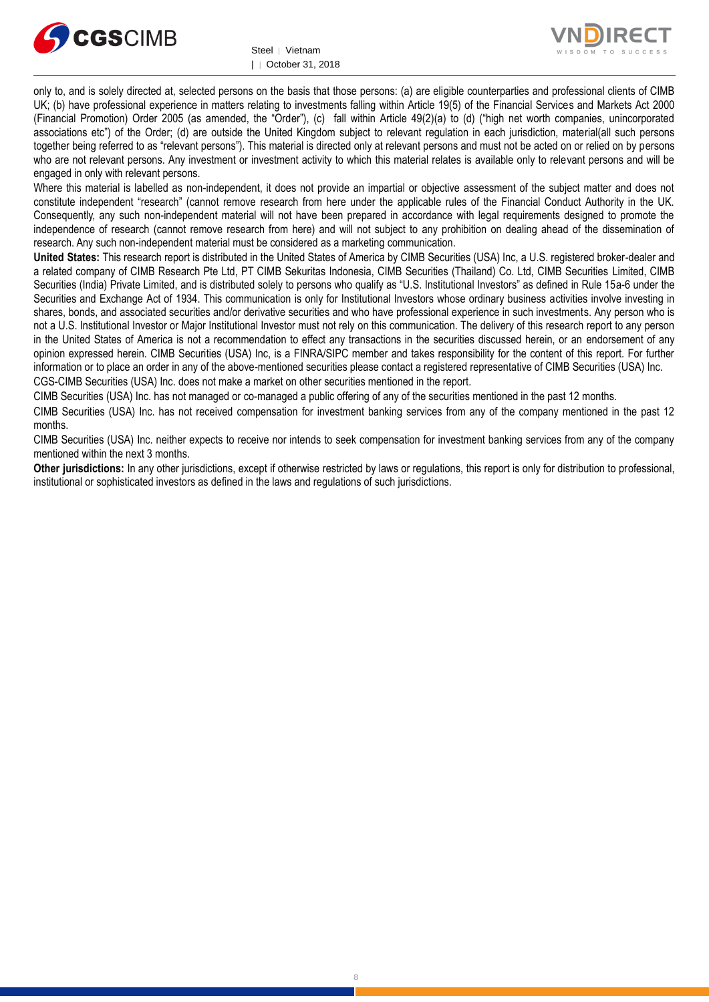



only to, and is solely directed at, selected persons on the basis that those persons: (a) are eligible counterparties and professional clients of CIMB UK; (b) have professional experience in matters relating to investments falling within Article 19(5) of the Financial Services and Markets Act 2000 (Financial Promotion) Order 2005 (as amended, the "Order"), (c) fall within Article 49(2)(a) to (d) ("high net worth companies, unincorporated associations etc") of the Order; (d) are outside the United Kingdom subject to relevant regulation in each jurisdiction, material(all such persons together being referred to as "relevant persons"). This material is directed only at relevant persons and must not be acted on or relied on by persons who are not relevant persons. Any investment or investment activity to which this material relates is available only to relevant persons and will be engaged in only with relevant persons.

Where this material is labelled as non-independent, it does not provide an impartial or objective assessment of the subject matter and does not constitute independent "research" (cannot remove research from here under the applicable rules of the Financial Conduct Authority in the UK. Consequently, any such non-independent material will not have been prepared in accordance with legal requirements designed to promote the independence of research (cannot remove research from here) and will not subject to any prohibition on dealing ahead of the dissemination of research. Any such non-independent material must be considered as a marketing communication.

**United States:** This research report is distributed in the United States of America by CIMB Securities (USA) Inc, a U.S. registered broker-dealer and a related company of CIMB Research Pte Ltd, PT CIMB Sekuritas Indonesia, CIMB Securities (Thailand) Co. Ltd, CIMB Securities Limited, CIMB Securities (India) Private Limited, and is distributed solely to persons who qualify as "U.S. Institutional Investors" as defined in Rule 15a-6 under the Securities and Exchange Act of 1934. This communication is only for Institutional Investors whose ordinary business activities involve investing in shares, bonds, and associated securities and/or derivative securities and who have professional experience in such investments. Any person who is not a U.S. Institutional Investor or Major Institutional Investor must not rely on this communication. The delivery of this research report to any person in the United States of America is not a recommendation to effect any transactions in the securities discussed herein, or an endorsement of any opinion expressed herein. CIMB Securities (USA) Inc, is a FINRA/SIPC member and takes responsibility for the content of this report. For further information or to place an order in any of the above-mentioned securities please contact a registered representative of CIMB Securities (USA) Inc. CGS-CIMB Securities (USA) Inc. does not make a market on other securities mentioned in the report.

CIMB Securities (USA) Inc. has not managed or co-managed a public offering of any of the securities mentioned in the past 12 months.

CIMB Securities (USA) Inc. has not received compensation for investment banking services from any of the company mentioned in the past 12 months.

CIMB Securities (USA) Inc. neither expects to receive nor intends to seek compensation for investment banking services from any of the company mentioned within the next 3 months.

**Other jurisdictions:** In any other jurisdictions, except if otherwise restricted by laws or regulations, this report is only for distribution to professional, institutional or sophisticated investors as defined in the laws and regulations of such jurisdictions.